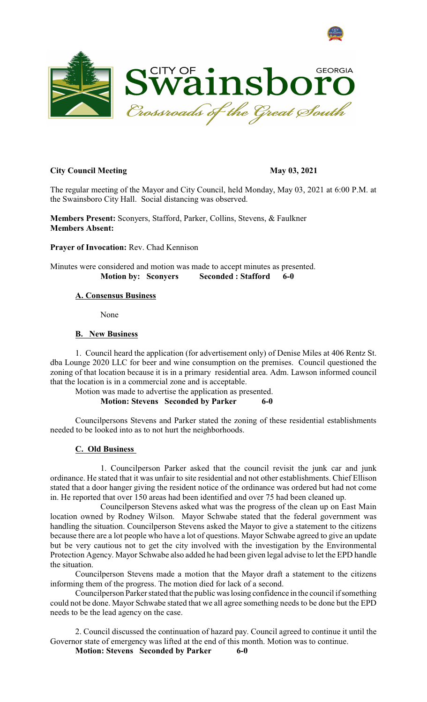



## **City Council Meeting May 03, 2021**

The regular meeting of the Mayor and City Council, held Monday, May 03, 2021 at 6:00 P.M. at the Swainsboro City Hall. Social distancing was observed.

**Members Present:** Sconyers, Stafford, Parker, Collins, Stevens, & Faulkner **Members Absent:**

**Prayer of Invocation:** Rev. Chad Kennison

Minutes were considered and motion was made to accept minutes as presented. **Motion by: Sconyers Seconded : Stafford 6-0**

# **A. Consensus Business**

None

### **B. New Business**

1. Council heard the application (for advertisement only) of Denise Miles at 406 Rentz St. dba Lounge 2020 LLC for beer and wine consumption on the premises. Council questioned the zoning of that location because it is in a primary residential area. Adm. Lawson informed council that the location is in a commercial zone and is acceptable.

Motion was made to advertise the application as presented. **Motion: Stevens Seconded by Parker 6-0**

Councilpersons Stevens and Parker stated the zoning of these residential establishments needed to be looked into as to not hurt the neighborhoods.

## **C. Old Business**

1. Councilperson Parker asked that the council revisit the junk car and junk ordinance. He stated that it was unfair to site residential and not other establishments. Chief Ellison stated that a door hanger giving the resident notice of the ordinance was ordered but had not come in. He reported that over 150 areas had been identified and over 75 had been cleaned up.

Councilperson Stevens asked what was the progress of the clean up on East Main location owned by Rodney Wilson. Mayor Schwabe stated that the federal government was handling the situation. Councilperson Stevens asked the Mayor to give a statement to the citizens because there are a lot people who have a lot of questions. Mayor Schwabe agreed to give an update but be very cautious not to get the city involved with the investigation by the Environmental Protection Agency. Mayor Schwabe also added he had been given legal advise to let the EPD handle the situation.

Councilperson Stevens made a motion that the Mayor draft a statement to the citizens informing them of the progress. The motion died for lack of a second.

Councilperson Parker stated that the public was losing confidence in the council if something could not be done. Mayor Schwabe stated that we all agree something needs to be done but the EPD needs to be the lead agency on the case.

2. Council discussed the continuation of hazard pay. Council agreed to continue it until the Governor state of emergency was lifted at the end of this month. Motion was to continue.

**Motion: Stevens Seconded by Parker 6-0**